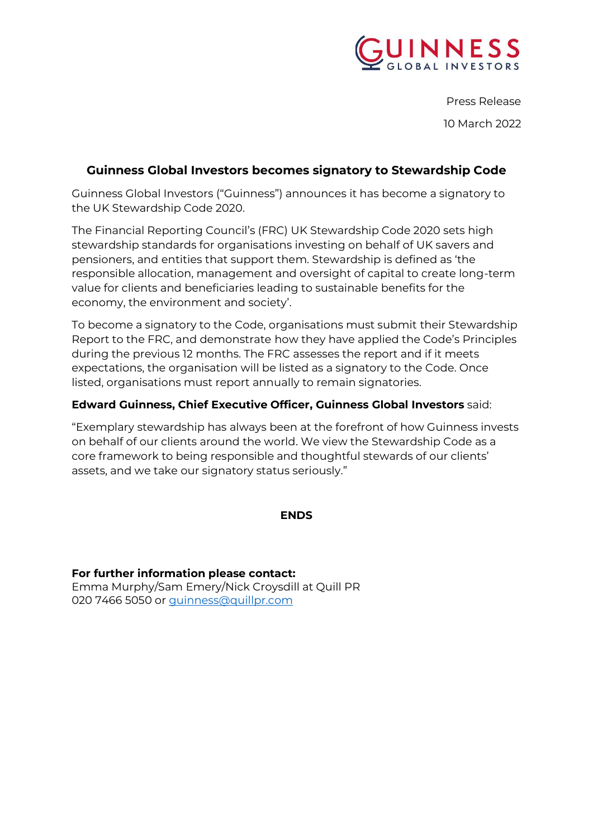

Press Release 10 March 2022

# **Guinness Global Investors becomes signatory to Stewardship Code**

Guinness Global Investors ("Guinness") announces it has become a signatory to the UK Stewardship Code 2020.

The Financial Reporting Council's (FRC) [UK Stewardship Code 2020](https://www.frc.org.uk/document-library/corporate-governance/2019/2020-corporate-stewardship-code-(1)) sets high stewardship standards for organisations investing on behalf of UK savers and pensioners, and entities that support them. Stewardship is defined as 'the responsible allocation, management and oversight of capital to create long-term value for clients and beneficiaries leading to sustainable benefits for the economy, the environment and society'.

To become a signatory to the Code, organisations must submit their Stewardship Report to the FRC, and demonstrate how they have applied the Code's Principles during the previous 12 months. The FRC assesses the report and if it meets expectations, the organisation will be listed as a signatory to the Code. Once listed, organisations must report annually to remain signatories.

## **Edward Guinness, Chief Executive Officer, Guinness Global Investors** said:

"Exemplary stewardship has always been at the forefront of how Guinness invests on behalf of our clients around the world. We view the Stewardship Code as a core framework to being responsible and thoughtful stewards of our clients' assets, and we take our signatory status seriously."

#### **ENDS**

**For further information please contact:** Emma Murphy/Sam Emery/Nick Croysdill at Quill PR 020 7466 5050 or quinness@quillpr.com